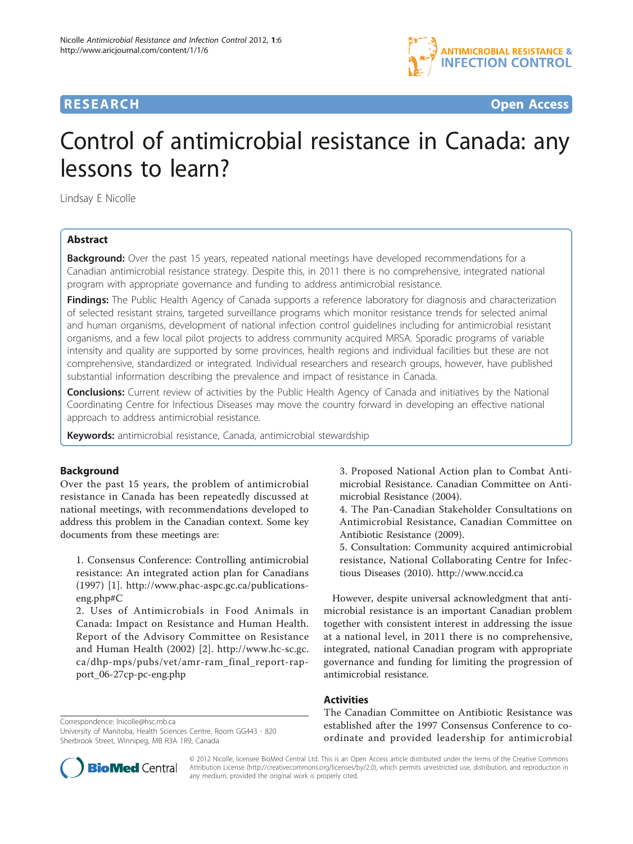

**RESEARCH CONTROL** CONTROL CONTROL CONTROL CONTROL CONTROL CONTROL CONTROL CONTROL CONTROL CONTROL CONTROL CONTROL CONTROL CONTROL CONTROL CONTROL CONTROL CONTROL CONTROL CONTROL CONTROL CONTROL CONTROL CONTROL CONTROL CON

# Control of antimicrobial resistance in Canada: any lessons to learn?

Lindsay E Nicolle

# Abstract

**Background:** Over the past 15 years, repeated national meetings have developed recommendations for a Canadian antimicrobial resistance strategy. Despite this, in 2011 there is no comprehensive, integrated national program with appropriate governance and funding to address antimicrobial resistance.

Findings: The Public Health Agency of Canada supports a reference laboratory for diagnosis and characterization of selected resistant strains, targeted surveillance programs which monitor resistance trends for selected animal and human organisms, development of national infection control guidelines including for antimicrobial resistant organisms, and a few local pilot projects to address community acquired MRSA. Sporadic programs of variable intensity and quality are supported by some provinces, health regions and individual facilities but these are not comprehensive, standardized or integrated. Individual researchers and research groups, however, have published substantial information describing the prevalence and impact of resistance in Canada.

**Conclusions:** Current review of activities by the Public Health Agency of Canada and initiatives by the National Coordinating Centre for Infectious Diseases may move the country forward in developing an effective national approach to address antimicrobial resistance.

Keywords: antimicrobial resistance, Canada, antimicrobial stewardship

#### Background

Over the past 15 years, the problem of antimicrobial resistance in Canada has been repeatedly discussed at national meetings, with recommendations developed to address this problem in the Canadian context. Some key documents from these meetings are:

1. Consensus Conference: Controlling antimicrobial resistance: An integrated action plan for Canadians (1997) [[1\]](#page-2-0). [http://www.phac-aspc.gc.ca/publications](http://www.phac-aspc.gc.ca/publications-eng.php#C)[eng.php#C](http://www.phac-aspc.gc.ca/publications-eng.php#C)

2. Uses of Antimicrobials in Food Animals in Canada: Impact on Resistance and Human Health. Report of the Advisory Committee on Resistance and Human Health (2002) [\[2](#page-2-0)]. [http://www.hc-sc.gc.](http://www.hc-sc.gc.ca/dhp-mps/pubs/vet/amr-ram_final_report-rapport_06-27cp-pc-eng.php) [ca/dhp-mps/pubs/vet/amr-ram\\_final\\_report-rap](http://www.hc-sc.gc.ca/dhp-mps/pubs/vet/amr-ram_final_report-rapport_06-27cp-pc-eng.php)[port\\_06-27cp-pc-eng.php](http://www.hc-sc.gc.ca/dhp-mps/pubs/vet/amr-ram_final_report-rapport_06-27cp-pc-eng.php)

Correspondence: [lnicolle@hsc.mb.ca](mailto:lnicolle@hsc.mb.ca)

University of Manitoba, Health Sciences Centre, Room GG443 - 820 Sherbrook Street, Winnipeg, MB R3A 1R9, Canada

3. Proposed National Action plan to Combat Antimicrobial Resistance. Canadian Committee on Antimicrobial Resistance (2004).

4. The Pan-Canadian Stakeholder Consultations on Antimicrobial Resistance, Canadian Committee on Antibiotic Resistance (2009).

5. Consultation: Community acquired antimicrobial resistance, National Collaborating Centre for Infectious Diseases (2010).<http://www.nccid.ca>

However, despite universal acknowledgment that antimicrobial resistance is an important Canadian problem together with consistent interest in addressing the issue at a national level, in 2011 there is no comprehensive, integrated, national Canadian program with appropriate governance and funding for limiting the progression of antimicrobial resistance.

# Activities

The Canadian Committee on Antibiotic Resistance was established after the 1997 Consensus Conference to coordinate and provided leadership for antimicrobial



© 2012 Nicolle; licensee BioMed Central Ltd. This is an Open Access article distributed under the terms of the Creative Commons Attribution License [\(http://creativecommons.org/licenses/by/2.0](http://creativecommons.org/licenses/by/2.0)), which permits unrestricted use, distribution, and reproduction in any medium, provided the original work is properly cited.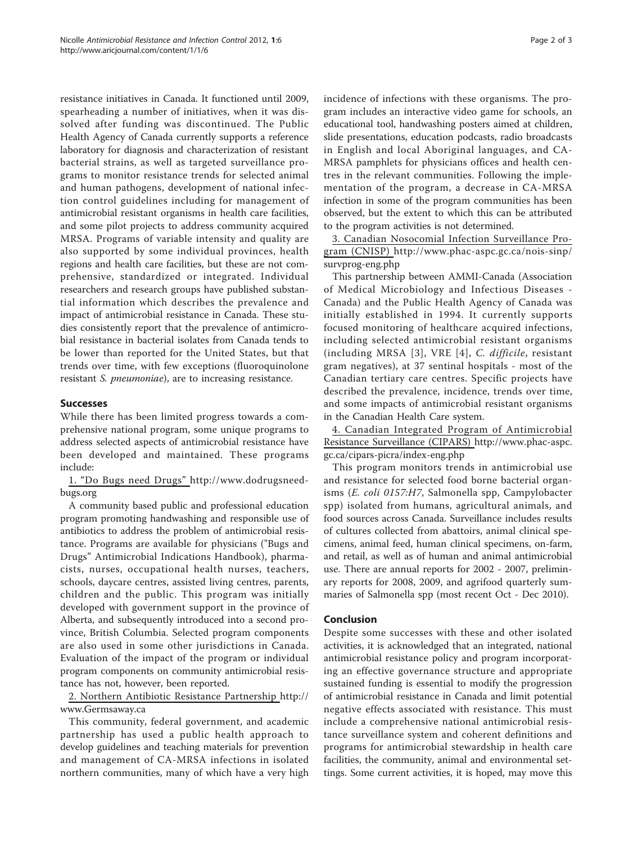resistance initiatives in Canada. It functioned until 2009, spearheading a number of initiatives, when it was dissolved after funding was discontinued. The Public Health Agency of Canada currently supports a reference laboratory for diagnosis and characterization of resistant bacterial strains, as well as targeted surveillance programs to monitor resistance trends for selected animal and human pathogens, development of national infection control guidelines including for management of antimicrobial resistant organisms in health care facilities, and some pilot projects to address community acquired MRSA. Programs of variable intensity and quality are also supported by some individual provinces, health regions and health care facilities, but these are not comprehensive, standardized or integrated. Individual researchers and research groups have published substantial information which describes the prevalence and impact of antimicrobial resistance in Canada. These studies consistently report that the prevalence of antimicrobial resistance in bacterial isolates from Canada tends to be lower than reported for the United States, but that trends over time, with few exceptions (fluoroquinolone resistant S. pneumoniae), are to increasing resistance.

## Successes

While there has been limited progress towards a comprehensive national program, some unique programs to address selected aspects of antimicrobial resistance have been developed and maintained. These programs include:

1. "Do Bugs need Drugs" [http://www.dodrugsneed](http://www.dodrugsneedbugs.org)[bugs.org](http://www.dodrugsneedbugs.org)

A community based public and professional education program promoting handwashing and responsible use of antibiotics to address the problem of antimicrobial resistance. Programs are available for physicians ("Bugs and Drugs" Antimicrobial Indications Handbook), pharmacists, nurses, occupational health nurses, teachers, schools, daycare centres, assisted living centres, parents, children and the public. This program was initially developed with government support in the province of Alberta, and subsequently introduced into a second province, British Columbia. Selected program components are also used in some other jurisdictions in Canada. Evaluation of the impact of the program or individual program components on community antimicrobial resistance has not, however, been reported.

2. Northern Antibiotic Resistance Partnership [http://](http://www.Germsaway.ca) [www.Germsaway.ca](http://www.Germsaway.ca)

This community, federal government, and academic partnership has used a public health approach to develop guidelines and teaching materials for prevention and management of CA-MRSA infections in isolated northern communities, many of which have a very high incidence of infections with these organisms. The program includes an interactive video game for schools, an educational tool, handwashing posters aimed at children, slide presentations, education podcasts, radio broadcasts in English and local Aboriginal languages, and CA-MRSA pamphlets for physicians offices and health centres in the relevant communities. Following the implementation of the program, a decrease in CA-MRSA infection in some of the program communities has been observed, but the extent to which this can be attributed to the program activities is not determined.

3. Canadian Nosocomial Infection Surveillance Program (CNISP) [http://www.phac-aspc.gc.ca/nois-sinp/](http://www.phac-aspc.gc.ca/nois-sinp/survprog-eng.php) [survprog-eng.php](http://www.phac-aspc.gc.ca/nois-sinp/survprog-eng.php)

This partnership between AMMI-Canada (Association of Medical Microbiology and Infectious Diseases - Canada) and the Public Health Agency of Canada was initially established in 1994. It currently supports focused monitoring of healthcare acquired infections, including selected antimicrobial resistant organisms (including MRSA [[3\]](#page-2-0), VRE [[4\]](#page-2-0), C. difficile, resistant gram negatives), at 37 sentinal hospitals - most of the Canadian tertiary care centres. Specific projects have described the prevalence, incidence, trends over time, and some impacts of antimicrobial resistant organisms in the Canadian Health Care system.

4. Canadian Integrated Program of Antimicrobial Resistance Surveillance (CIPARS) [http://www.phac-aspc.](http://www.phac-aspc.gc.ca/cipars-picra/index-eng.php) [gc.ca/cipars-picra/index-eng.php](http://www.phac-aspc.gc.ca/cipars-picra/index-eng.php)

This program monitors trends in antimicrobial use and resistance for selected food borne bacterial organisms (E. coli 0157:H7, Salmonella spp, Campylobacter spp) isolated from humans, agricultural animals, and food sources across Canada. Surveillance includes results of cultures collected from abattoirs, animal clinical specimens, animal feed, human clinical specimens, on-farm, and retail, as well as of human and animal antimicrobial use. There are annual reports for 2002 - 2007, preliminary reports for 2008, 2009, and agrifood quarterly summaries of Salmonella spp (most recent Oct - Dec 2010).

### Conclusion

Despite some successes with these and other isolated activities, it is acknowledged that an integrated, national antimicrobial resistance policy and program incorporating an effective governance structure and appropriate sustained funding is essential to modify the progression of antimicrobial resistance in Canada and limit potential negative effects associated with resistance. This must include a comprehensive national antimicrobial resistance surveillance system and coherent definitions and programs for antimicrobial stewardship in health care facilities, the community, animal and environmental settings. Some current activities, it is hoped, may move this